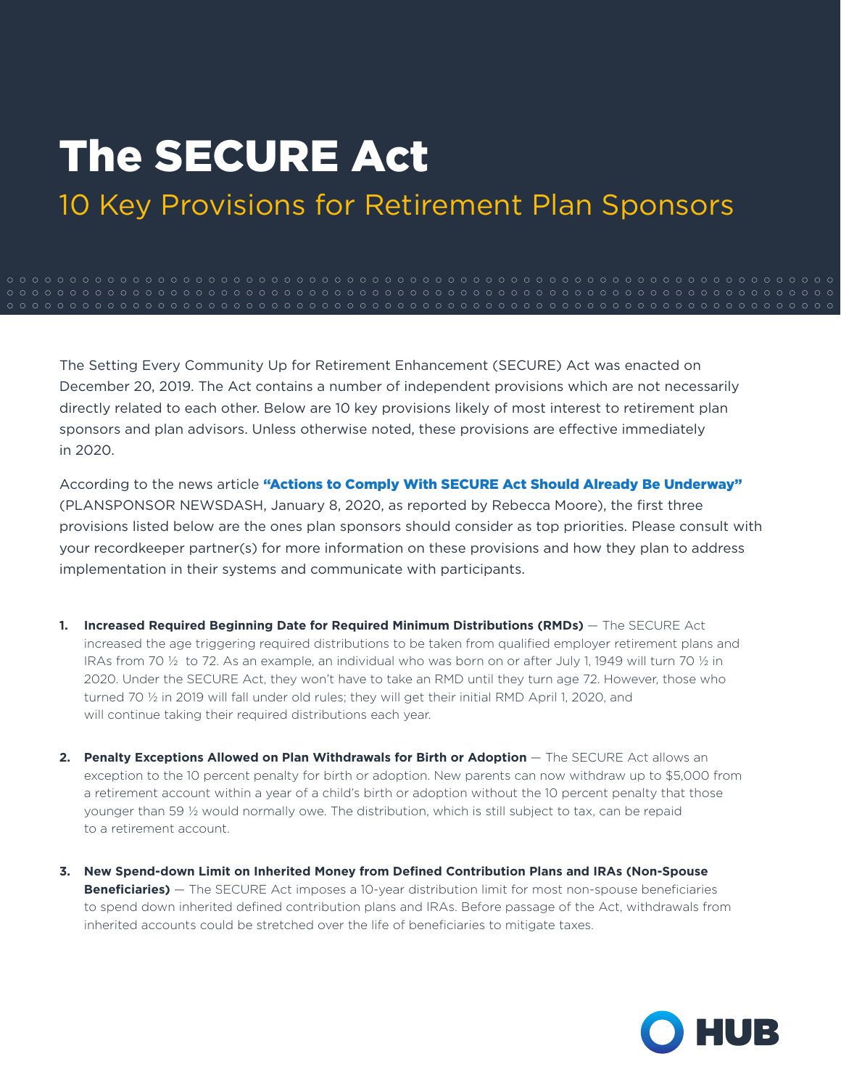## The SECURE Act

10 Key Provisions for Retirement Plan Sponsors

The Setting Every Community Up for Retirement Enhancement (SECURE) Act was enacted on December 20, 2019. The Act contains a number of independent provisions which are not necessarily directly related to each other. Below are 10 key provisions likely of most interest to retirement plan sponsors and plan advisors. Unless otherwise noted, these provisions are effective immediately in 2020.

According to the news article ["Actions to Comply With SECURE Act Should Already Be Underway"](https://www.plansponsor.com/actions-comply-secure-act-already-underway/) (PLANSPONSOR NEWSDASH, January 8, 2020, as reported by Rebecca Moore), the first three provisions listed below are the ones plan sponsors should consider as top priorities. Please consult with your recordkeeper partner(s) for more information on these provisions and how they plan to address implementation in their systems and communicate with participants.

- 1. **Increased Required Beginning Date for Required Minimum Distributions (RMDs)** The SECURE Act increased the age triggering required distributions to be taken from qualified employer retirement plans and IRAs from 70 ½ to 72. As an example, an individual who was born on or after July 1, 1949 will turn 70 ½ in 2020. Under the SECURE Act, they won't have to take an RMD until they turn age 72. However, those who turned 70 ½ in 2019 will fall under old rules; they will get their initial RMD April 1, 2020, and will continue taking their required distributions each year.
- **2.** Penalty Exceptions Allowed on Plan Withdrawals for Birth or Adoption  $-$  The SECURE Act allows an exception to the 10 percent penalty for birth or adoption. New parents can now withdraw up to \$5,000 from a retirement account within a year of a child's birth or adoption without the 10 percent penalty that those younger than 59 ½ would normally owe. The distribution, which is still subject to tax, can be repaid to a retirement account.
- **3. New Spend-down Limit on Inherited Money from Defined Contribution Plans and IRAs (Non-Spouse Beneficiaries)** — The SECURE Act imposes a 10-year distribution limit for most non-spouse beneficiaries to spend down inherited defined contribution plans and IRAs. Before passage of the Act, withdrawals from inherited accounts could be stretched over the life of beneficiaries to mitigate taxes.

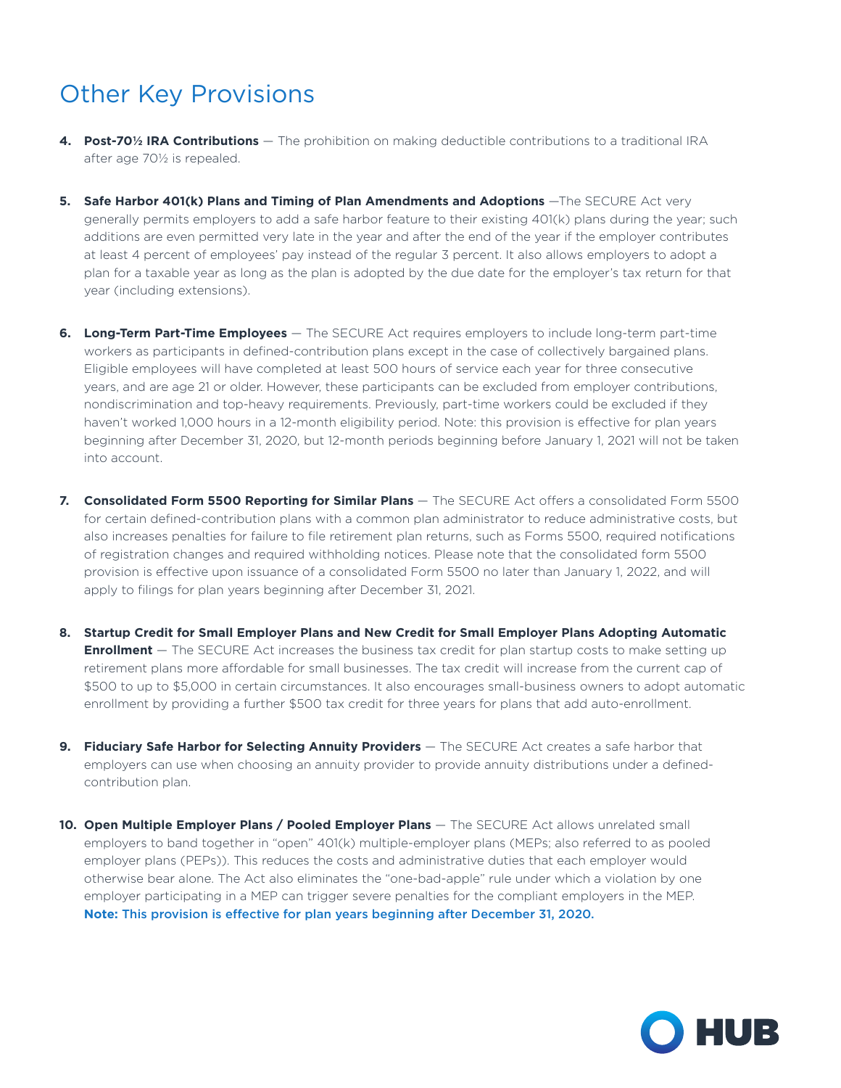## Other Key Provisions

- **4. Post-70½ IRA Contributions**  The prohibition on making deductible contributions to a traditional IRA after age 70½ is repealed.
- 5. Safe Harbor 401(k) Plans and Timing of Plan Amendments and Adoptions -The SECURE Act very generally permits employers to add a safe harbor feature to their existing 401(k) plans during the year; such additions are even permitted very late in the year and after the end of the year if the employer contributes at least 4 percent of employees' pay instead of the regular 3 percent. It also allows employers to adopt a plan for a taxable year as long as the plan is adopted by the due date for the employer's tax return for that year (including extensions).
- **6. Long-Term Part-Time Employees** The SECURE Act requires employers to include long-term part-time workers as participants in defined-contribution plans except in the case of collectively bargained plans. Eligible employees will have completed at least 500 hours of service each year for three consecutive years, and are age 21 or older. However, these participants can be excluded from employer contributions, nondiscrimination and top-heavy requirements. Previously, part-time workers could be excluded if they haven't worked 1,000 hours in a 12-month eligibility period. Note: this provision is effective for plan years beginning after December 31, 2020, but 12-month periods beginning before January 1, 2021 will not be taken into account.
- **7. Consolidated Form 5500 Reporting for Similar Plans** The SECURE Act offers a consolidated Form 5500 for certain defined-contribution plans with a common plan administrator to reduce administrative costs, but also increases penalties for failure to file retirement plan returns, such as Forms 5500, required notifications of registration changes and required withholding notices. Please note that the consolidated form 5500 provision is effective upon issuance of a consolidated Form 5500 no later than January 1, 2022, and will apply to filings for plan years beginning after December 31, 2021.
- **8. Startup Credit for Small Employer Plans and New Credit for Small Employer Plans Adopting Automatic Enrollment** — The SECURE Act increases the business tax credit for plan startup costs to make setting up retirement plans more affordable for small businesses. The tax credit will increase from the current cap of \$500 to up to \$5,000 in certain circumstances. It also encourages small-business owners to adopt automatic enrollment by providing a further \$500 tax credit for three years for plans that add auto-enrollment.
- **9. Fiduciary Safe Harbor for Selecting Annuity Providers** The SECURE Act creates a safe harbor that employers can use when choosing an annuity provider to provide annuity distributions under a definedcontribution plan.
- **10. Open Multiple Employer Plans / Pooled Employer Plans** The SECURE Act allows unrelated small employers to band together in "open" 401(k) multiple-employer plans (MEPs; also referred to as pooled employer plans (PEPs)). This reduces the costs and administrative duties that each employer would otherwise bear alone. The Act also eliminates the "one-bad-apple" rule under which a violation by one employer participating in a MEP can trigger severe penalties for the compliant employers in the MEP. **Note:** This provision is effective for plan years beginning after December 31, 2020.